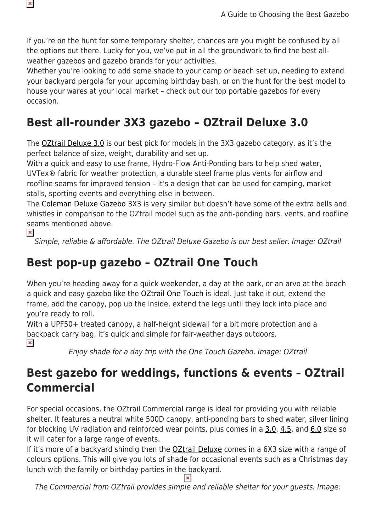If you're on the hunt for some temporary shelter, chances are you might be confused by all the options out there. Lucky for you, we've put in all the groundwork to find the best allweather gazebos and gazebo brands for your activities.

Whether you're looking to add some shade to your camp or beach set up, needing to extend your backyard pergola for your upcoming birthday bash, or on the hunt for the best model to house your wares at your local market – check out our top portable gazebos for every occasion.

# **Best all-rounder 3X3 gazebo – OZtrail Deluxe 3.0**

The **OZtrail Deluxe 3.0** is our best pick for models in the 3X3 gazebo category, as it's the perfect balance of size, weight, durability and set up.

With a quick and easy to use frame, Hydro-Flow Anti-Ponding bars to help shed water, UVTex® fabric for weather protection, a durable steel frame plus vents for airflow and roofline seams for improved tension – it's a design that can be used for camping, market stalls, sporting events and everything else in between.

The [Coleman Deluxe Gazebo 3X3](https://www.snowys.com.au/deluxe-gazebo-3x3) is very similar but doesn't have some of the extra bells and whistles in comparison to the OZtrail model such as the anti-ponding bars, vents, and roofline seams mentioned above.

 $\pmb{\times}$ 

 $\pmb{\times}$ 

Simple, reliable & affordable. The OZtrail Deluxe Gazebo is our best seller. Image: OZtrail

# **Best pop-up gazebo – OZtrail One Touch**

When you're heading away for a quick weekender, a day at the park, or an arvo at the beach a quick and easy gazebo like the [OZtrail One Touch](https://www.snowys.com.au/onetouch-day-shade-18-gazebo) is ideal. Just take it out, extend the frame, add the canopy, pop up the inside, extend the legs until they lock into place and you're ready to roll.

With a UPF50+ treated canopy, a half-height sidewall for a bit more protection and a backpack carry bag, it's quick and simple for fair-weather days outdoors.  $\pmb{\times}$ 

Enjoy shade for a day trip with the One Touch Gazebo. Image: OZtrail

#### **Best gazebo for weddings, functions & events – OZtrail Commercial**

For special occasions, the OZtrail Commercial range is ideal for providing you with reliable shelter. It features a neutral white 500D canopy, anti-ponding bars to shed water, silver lining for blocking UV radiation and reinforced wear points, plus comes in a [3.0](https://www.snowys.com.au/deluxe-commercial-30-gazebo-with-hydro-flow), [4.5](https://www.snowys.com.au/deluxe-commercial-45-gazebo-with-hydro-flow), and [6.0](https://www.snowys.com.au/deluxe-commercial-60-gazebo-with-hydro-flow) size so it will cater for a large range of events.

If it's more of a backyard shindig then the **OZtrail Deluxe** comes in a 6X3 size with a range of colours options. This will give you lots of shade for occasional events such as a Christmas day lunch with the family or birthday parties in the backyard.

The Commercial from OZtrail provides simple and reliable shelter for your guests. Image: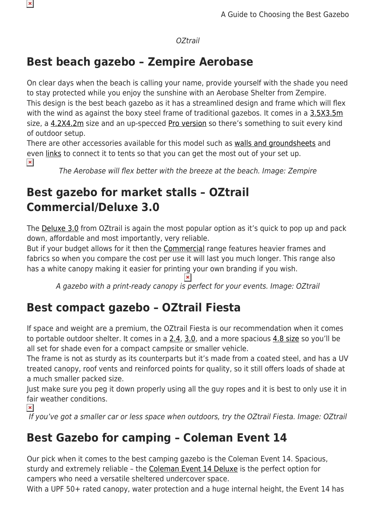#### OZtrail

## **Best beach gazebo – Zempire Aerobase**

On clear days when the beach is calling your name, provide yourself with the shade you need to stay protected while you enjoy the sunshine with an Aerobase Shelter from Zempire. This design is the best beach gazebo as it has a streamlined design and frame which will flex with the wind as against the boxy steel frame of traditional gazebos. It comes in a [3.5X3.5m](https://www.snowys.com.au/aerobase-shelter) size, a [4.2X4.2m](https://www.snowys.com.au/aerobase-4-shelter) size and an up-specced [Pro version](https://www.snowys.com.au/aerobase-3-pro-shelter-wall) so there's something to suit every kind of outdoor setup.

There are other accessories available for this model such as [walls and groundsheets](https://www.snowys.com.au/gazebos#?pagenumber=1&pageSize=48&orderBy=20&specIds=&brands=34&type=&colourSize=&priceRange=) and even [links](https://www.snowys.com.au/aerobase-pro-links) to connect it to tents so that you can get the most out of your set up.  $\pmb{\times}$ 

The Aerobase will flex better with the breeze at the beach. Image: Zempire

## **Best gazebo for market stalls – OZtrail Commercial/Deluxe 3.0**

The [Deluxe 3.0](https://www.snowys.com.au/deluxe-gazebo-blue) from OZtrail is again the most popular option as it's quick to pop up and pack down, affordable and most importantly, very reliable.

But if your budget allows for it then the [Commercial](https://www.snowys.com.au/deluxe-commercial-30-gazebo-with-hydro-flow) range features heavier frames and fabrics so when you compare the cost per use it will last you much longer. This range also has a white canopy making it easier for printing your own branding if you wish.

A gazebo with a print-ready canopy is perfect for your events. Image: OZtrail

# **Best compact gazebo – OZtrail Fiesta**

If space and weight are a premium, the OZtrail Fiesta is our recommendation when it comes to portable outdoor shelter. It comes in a  $2.4$ ,  $3.0$ , and a more spacious  $4.8$  size so you'll be all set for shade even for a compact campsite or smaller vehicle.

The frame is not as sturdy as its counterparts but it's made from a coated steel, and has a UV treated canopy, roof vents and reinforced points for quality, so it still offers loads of shade at a much smaller packed size.

Just make sure you peg it down properly using all the guy ropes and it is best to only use it in fair weather conditions.

 $\pmb{\times}$ 

 $\pmb{\times}$ 

If you've got a smaller car or less space when outdoors, try the OZtrail Fiesta. Image: OZtrail

#### **Best Gazebo for camping – Coleman Event 14**

Our pick when it comes to the best camping gazebo is the Coleman Event 14. Spacious, sturdy and extremely reliable – the [Coleman Event 14 Deluxe](https://www.snowys.com.au/event-14-deluxe-sun-shelter-sunwall) is the perfect option for campers who need a versatile sheltered undercover space.

With a UPF 50+ rated canopy, water protection and a huge internal height, the Event 14 has